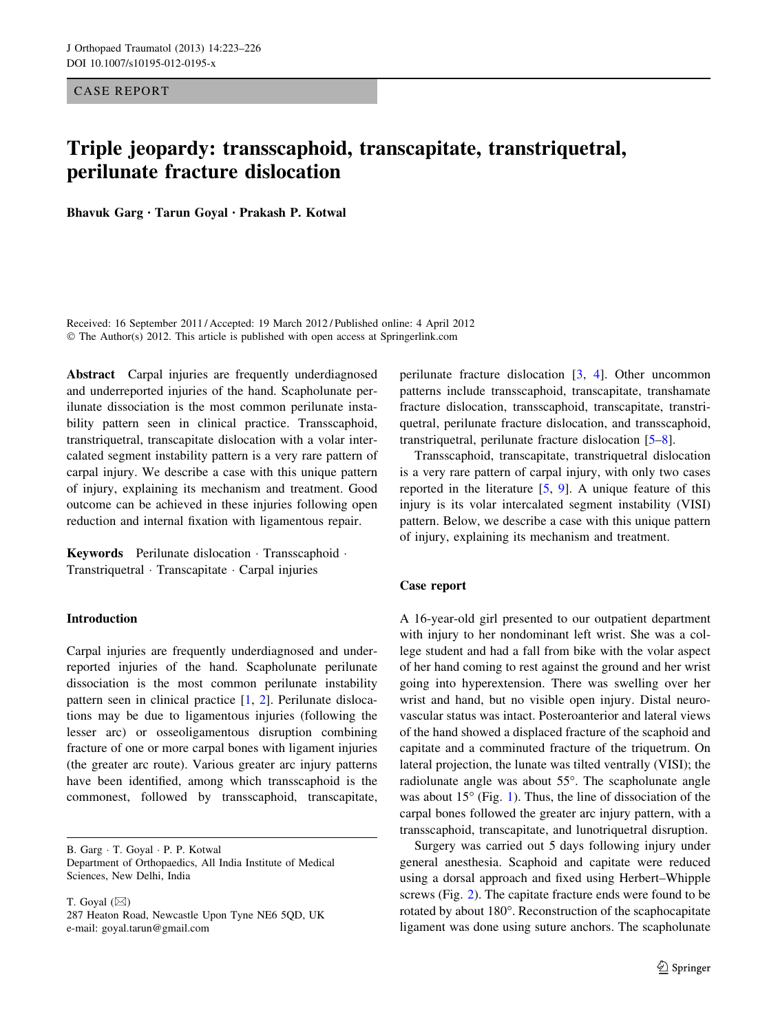CASE REPORT

# Triple jeopardy: transscaphoid, transcapitate, transtriquetral, perilunate fracture dislocation

Bhavuk Garg • Tarun Goyal • Prakash P. Kotwal

Received: 16 September 2011 / Accepted: 19 March 2012 / Published online: 4 April 2012 © The Author(s) 2012. This article is published with open access at Springerlink.com

Abstract Carpal injuries are frequently underdiagnosed and underreported injuries of the hand. Scapholunate perilunate dissociation is the most common perilunate instability pattern seen in clinical practice. Transscaphoid, transtriquetral, transcapitate dislocation with a volar intercalated segment instability pattern is a very rare pattern of carpal injury. We describe a case with this unique pattern of injury, explaining its mechanism and treatment. Good outcome can be achieved in these injuries following open reduction and internal fixation with ligamentous repair.

Keywords Perilunate dislocation · Transscaphoid · Transtriquetral - Transcapitate - Carpal injuries

#### Introduction

Carpal injuries are frequently underdiagnosed and underreported injuries of the hand. Scapholunate perilunate dissociation is the most common perilunate instability pattern seen in clinical practice [\[1](#page-2-0), [2\]](#page-2-0). Perilunate dislocations may be due to ligamentous injuries (following the lesser arc) or osseoligamentous disruption combining fracture of one or more carpal bones with ligament injuries (the greater arc route). Various greater arc injury patterns have been identified, among which transscaphoid is the commonest, followed by transscaphoid, transcapitate,

B. Garg - T. Goyal - P. P. Kotwal

Department of Orthopaedics, All India Institute of Medical Sciences, New Delhi, India

T. Goyal  $(\boxtimes)$ 

287 Heaton Road, Newcastle Upon Tyne NE6 5QD, UK e-mail: goyal.tarun@gmail.com

perilunate fracture dislocation [\[3](#page-2-0), [4](#page-2-0)]. Other uncommon patterns include transscaphoid, transcapitate, transhamate fracture dislocation, transscaphoid, transcapitate, transtriquetral, perilunate fracture dislocation, and transscaphoid, transtriquetral, perilunate fracture dislocation [[5–](#page-2-0)[8\]](#page-3-0).

Transscaphoid, transcapitate, transtriquetral dislocation is a very rare pattern of carpal injury, with only two cases reported in the literature [[5,](#page-2-0) [9\]](#page-3-0). A unique feature of this injury is its volar intercalated segment instability (VISI) pattern. Below, we describe a case with this unique pattern of injury, explaining its mechanism and treatment.

## Case report

A 16-year-old girl presented to our outpatient department with injury to her nondominant left wrist. She was a college student and had a fall from bike with the volar aspect of her hand coming to rest against the ground and her wrist going into hyperextension. There was swelling over her wrist and hand, but no visible open injury. Distal neurovascular status was intact. Posteroanterior and lateral views of the hand showed a displaced fracture of the scaphoid and capitate and a comminuted fracture of the triquetrum. On lateral projection, the lunate was tilted ventrally (VISI); the radiolunate angle was about  $55^\circ$ . The scapholunate angle was about  $15^{\circ}$  $15^{\circ}$  (Fig. 1). Thus, the line of dissociation of the carpal bones followed the greater arc injury pattern, with a transscaphoid, transcapitate, and lunotriquetral disruption.

Surgery was carried out 5 days following injury under general anesthesia. Scaphoid and capitate were reduced using a dorsal approach and fixed using Herbert–Whipple screws (Fig. [2](#page-1-0)). The capitate fracture ends were found to be rotated by about 180°. Reconstruction of the scaphocapitate ligament was done using suture anchors. The scapholunate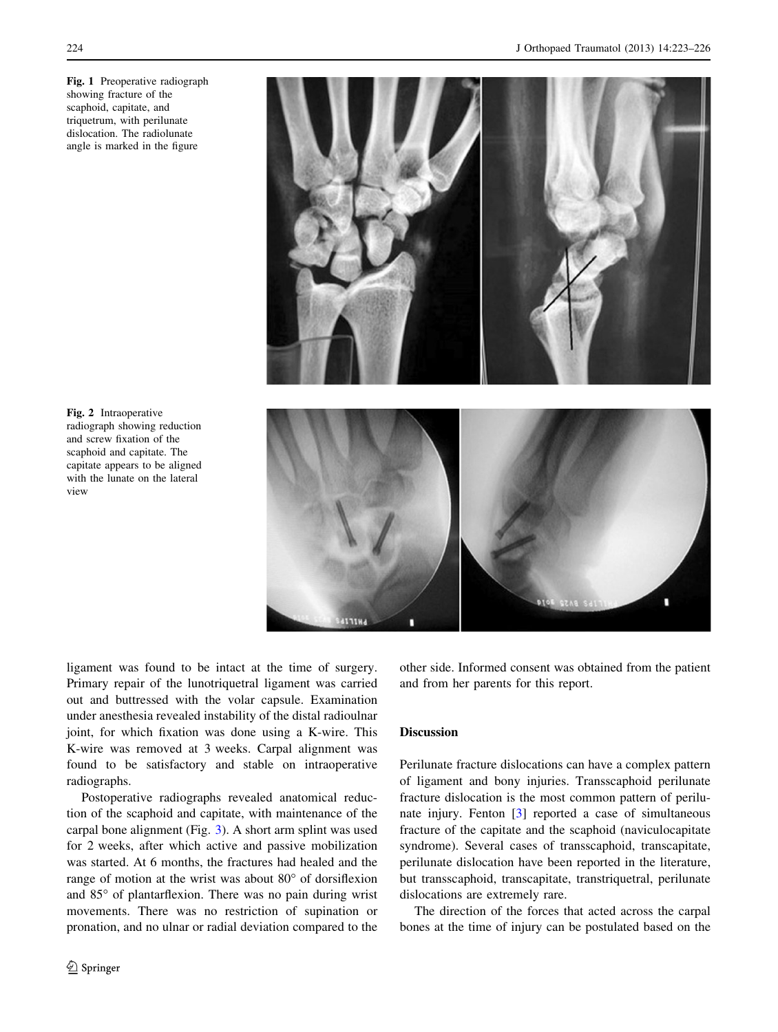<span id="page-1-0"></span>Fig. 1 Preoperative radiograph showing fracture of the scaphoid, capitate, and triquetrum, with perilunate dislocation. The radiolunate angle is marked in the figure



Fig. 2 Intraoperative radiograph showing reduction and screw fixation of the scaphoid and capitate. The capitate appears to be aligned with the lunate on the lateral view

ligament was found to be intact at the time of surgery. Primary repair of the lunotriquetral ligament was carried out and buttressed with the volar capsule. Examination under anesthesia revealed instability of the distal radioulnar joint, for which fixation was done using a K-wire. This K-wire was removed at 3 weeks. Carpal alignment was found to be satisfactory and stable on intraoperative radiographs.

Postoperative radiographs revealed anatomical reduction of the scaphoid and capitate, with maintenance of the carpal bone alignment (Fig. [3\)](#page-2-0). A short arm splint was used for 2 weeks, after which active and passive mobilization was started. At 6 months, the fractures had healed and the range of motion at the wrist was about  $80^{\circ}$  of dorsiflexion and  $85^\circ$  of plantarflexion. There was no pain during wrist movements. There was no restriction of supination or pronation, and no ulnar or radial deviation compared to the other side. Informed consent was obtained from the patient and from her parents for this report.

## Discussion

Perilunate fracture dislocations can have a complex pattern of ligament and bony injuries. Transscaphoid perilunate fracture dislocation is the most common pattern of perilunate injury. Fenton [\[3](#page-2-0)] reported a case of simultaneous fracture of the capitate and the scaphoid (naviculocapitate syndrome). Several cases of transscaphoid, transcapitate, perilunate dislocation have been reported in the literature, but transscaphoid, transcapitate, transtriquetral, perilunate dislocations are extremely rare.

The direction of the forces that acted across the carpal bones at the time of injury can be postulated based on the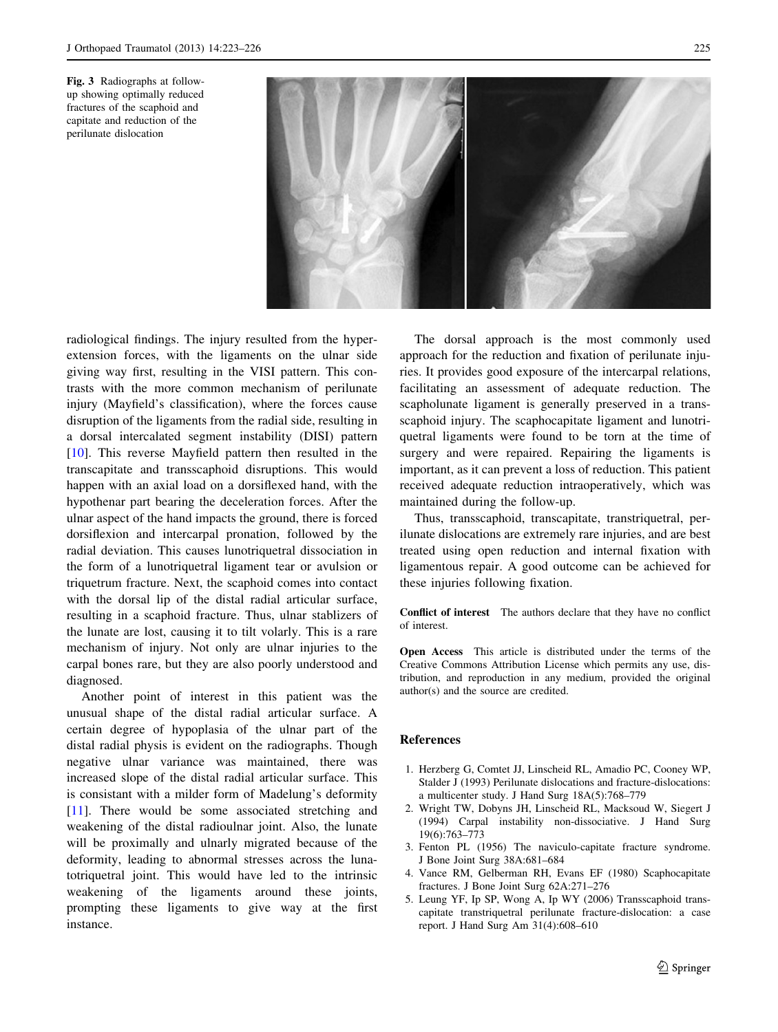<span id="page-2-0"></span>Fig. 3 Radiographs at followup showing optimally reduced fractures of the scaphoid and capitate and reduction of the perilunate dislocation



radiological findings. The injury resulted from the hyperextension forces, with the ligaments on the ulnar side giving way first, resulting in the VISI pattern. This contrasts with the more common mechanism of perilunate injury (Mayfield's classification), where the forces cause disruption of the ligaments from the radial side, resulting in a dorsal intercalated segment instability (DISI) pattern [\[10](#page-3-0)]. This reverse Mayfield pattern then resulted in the transcapitate and transscaphoid disruptions. This would happen with an axial load on a dorsiflexed hand, with the hypothenar part bearing the deceleration forces. After the ulnar aspect of the hand impacts the ground, there is forced dorsiflexion and intercarpal pronation, followed by the radial deviation. This causes lunotriquetral dissociation in the form of a lunotriquetral ligament tear or avulsion or triquetrum fracture. Next, the scaphoid comes into contact with the dorsal lip of the distal radial articular surface, resulting in a scaphoid fracture. Thus, ulnar stablizers of the lunate are lost, causing it to tilt volarly. This is a rare mechanism of injury. Not only are ulnar injuries to the carpal bones rare, but they are also poorly understood and diagnosed.

Another point of interest in this patient was the unusual shape of the distal radial articular surface. A certain degree of hypoplasia of the ulnar part of the distal radial physis is evident on the radiographs. Though negative ulnar variance was maintained, there was increased slope of the distal radial articular surface. This is consistant with a milder form of Madelung's deformity [\[11](#page-3-0)]. There would be some associated stretching and weakening of the distal radioulnar joint. Also, the lunate will be proximally and ulnarly migrated because of the deformity, leading to abnormal stresses across the lunatotriquetral joint. This would have led to the intrinsic weakening of the ligaments around these joints, prompting these ligaments to give way at the first instance.

The dorsal approach is the most commonly used approach for the reduction and fixation of perilunate injuries. It provides good exposure of the intercarpal relations, facilitating an assessment of adequate reduction. The scapholunate ligament is generally preserved in a transscaphoid injury. The scaphocapitate ligament and lunotriquetral ligaments were found to be torn at the time of surgery and were repaired. Repairing the ligaments is important, as it can prevent a loss of reduction. This patient received adequate reduction intraoperatively, which was maintained during the follow-up.

Thus, transscaphoid, transcapitate, transtriquetral, perilunate dislocations are extremely rare injuries, and are best treated using open reduction and internal fixation with ligamentous repair. A good outcome can be achieved for these injuries following fixation.

Conflict of interest The authors declare that they have no conflict of interest.

Open Access This article is distributed under the terms of the Creative Commons Attribution License which permits any use, distribution, and reproduction in any medium, provided the original author(s) and the source are credited.

#### References

- 1. Herzberg G, Comtet JJ, Linscheid RL, Amadio PC, Cooney WP, Stalder J (1993) Perilunate dislocations and fracture-dislocations: a multicenter study. J Hand Surg 18A(5):768–779
- 2. Wright TW, Dobyns JH, Linscheid RL, Macksoud W, Siegert J (1994) Carpal instability non-dissociative. J Hand Surg 19(6):763–773
- 3. Fenton PL (1956) The naviculo-capitate fracture syndrome. J Bone Joint Surg 38A:681–684
- 4. Vance RM, Gelberman RH, Evans EF (1980) Scaphocapitate fractures. J Bone Joint Surg 62A:271–276
- 5. Leung YF, Ip SP, Wong A, Ip WY (2006) Transscaphoid transcapitate transtriquetral perilunate fracture-dislocation: a case report. J Hand Surg Am 31(4):608–610